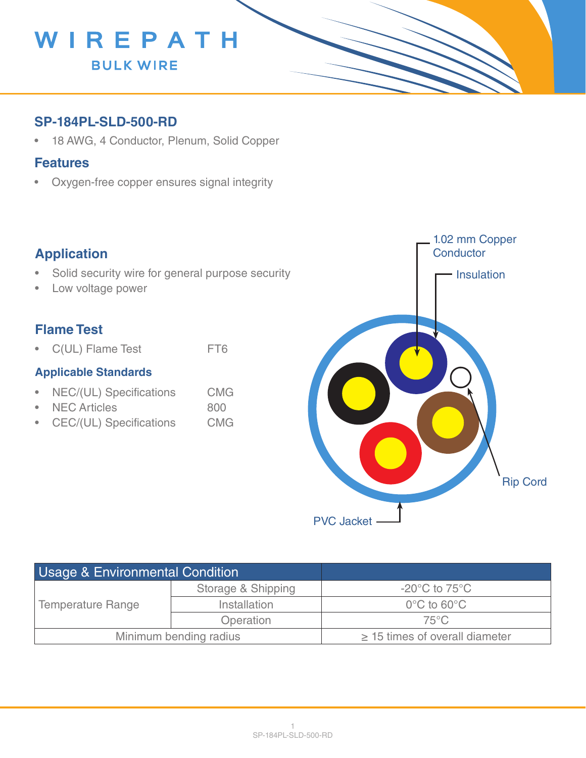

## **SP-184PL-SLD-500-RD**

• 18 AWG, 4 Conductor, Plenum, Solid Copper

#### **Features**

• Oxygen-free copper ensures signal integrity

## **Application**

- Solid security wire for general purpose security
- Low voltage power

## **Flame Test**

• C(UL) Flame Test FT6

#### **Applicable Standards**

- NEC/(UL) Specifications CMG
- NEC Articles 800
- CEC/(UL) Specifications CMG



| Usage & Environmental Condition |                    |                                     |
|---------------------------------|--------------------|-------------------------------------|
| <b>Temperature Range</b>        | Storage & Shipping | $-20^{\circ}$ C to 75 $^{\circ}$ C  |
|                                 | Installation       | $0^{\circ}$ C to 60 $^{\circ}$ C    |
|                                 | Operation          | $75^{\circ}$ C                      |
| Minimum bending radius          |                    | $\geq$ 15 times of overall diameter |